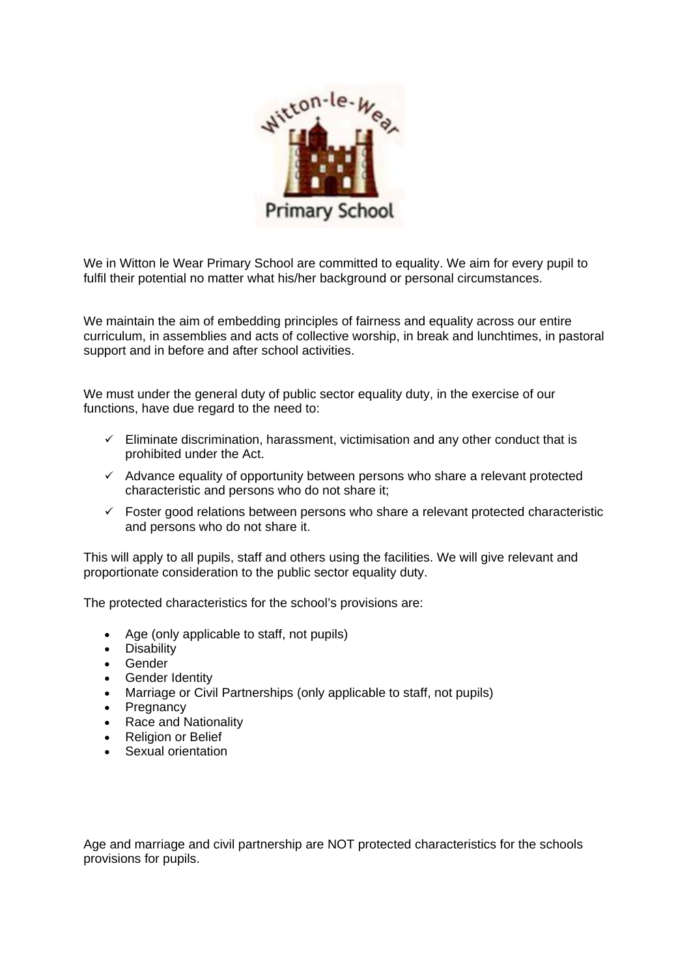

We in Witton le Wear Primary School are committed to equality. We aim for every pupil to fulfil their potential no matter what his/her background or personal circumstances.

We maintain the aim of embedding principles of fairness and equality across our entire curriculum, in assemblies and acts of collective worship, in break and lunchtimes, in pastoral support and in before and after school activities.

We must under the general duty of public sector equality duty, in the exercise of our functions, have due regard to the need to:

- $\checkmark$  Eliminate discrimination, harassment, victimisation and any other conduct that is prohibited under the Act.
- $\checkmark$  Advance equality of opportunity between persons who share a relevant protected characteristic and persons who do not share it;
- $\checkmark$  Foster good relations between persons who share a relevant protected characteristic and persons who do not share it.

This will apply to all pupils, staff and others using the facilities. We will give relevant and proportionate consideration to the public sector equality duty.

The protected characteristics for the school's provisions are:

- Age (only applicable to staff, not pupils)
- Disability
- Gender
- Gender Identity
- Marriage or Civil Partnerships (only applicable to staff, not pupils)
- Pregnancy
- Race and Nationality
- Religion or Belief
- Sexual orientation

Age and marriage and civil partnership are NOT protected characteristics for the schools provisions for pupils.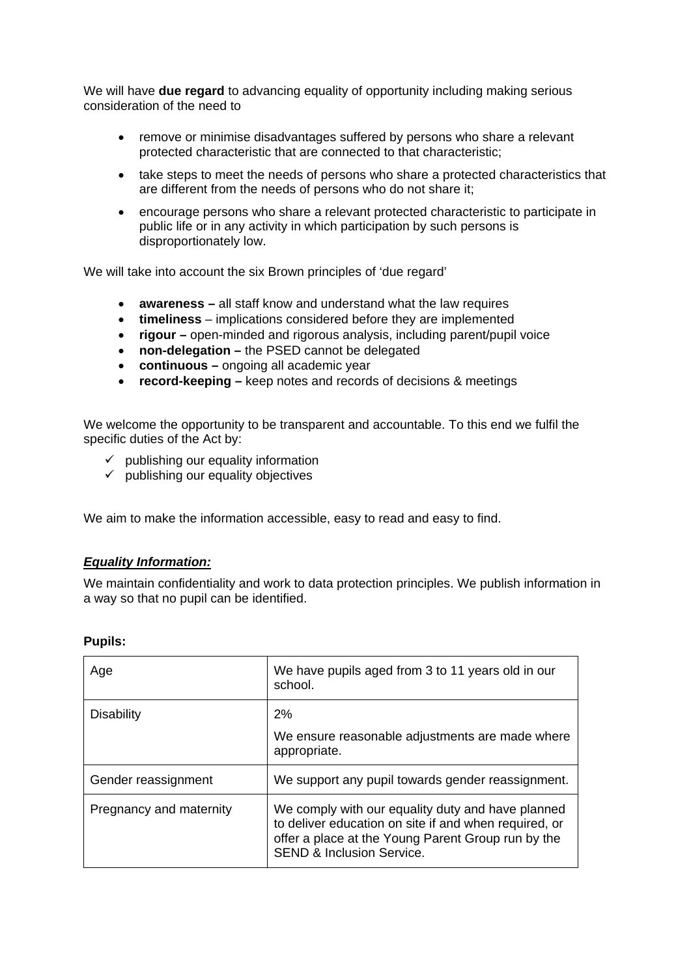We will have **due regard** to advancing equality of opportunity including making serious consideration of the need to

- remove or minimise disadvantages suffered by persons who share a relevant protected characteristic that are connected to that characteristic;
- take steps to meet the needs of persons who share a protected characteristics that are different from the needs of persons who do not share it;
- encourage persons who share a relevant protected characteristic to participate in public life or in any activity in which participation by such persons is disproportionately low.

We will take into account the six Brown principles of 'due regard'

- **awareness –** all staff know and understand what the law requires
- **timeliness**  implications considered before they are implemented
- **rigour –** open-minded and rigorous analysis, including parent/pupil voice
- **non-delegation –** the PSED cannot be delegated
- **continuous –** ongoing all academic year
- **record-keeping –** keep notes and records of decisions & meetings

We welcome the opportunity to be transparent and accountable. To this end we fulfil the specific duties of the Act by:

- $\checkmark$  publishing our equality information
- $\checkmark$  publishing our equality objectives

We aim to make the information accessible, easy to read and easy to find.

## *Equality Information:*

We maintain confidentiality and work to data protection principles. We publish information in a way so that no pupil can be identified.

| Age                     | We have pupils aged from 3 to 11 years old in our<br>school.                                                                                                                                             |
|-------------------------|----------------------------------------------------------------------------------------------------------------------------------------------------------------------------------------------------------|
| <b>Disability</b>       | 2%<br>We ensure reasonable adjustments are made where<br>appropriate.                                                                                                                                    |
| Gender reassignment     | We support any pupil towards gender reassignment.                                                                                                                                                        |
| Pregnancy and maternity | We comply with our equality duty and have planned<br>to deliver education on site if and when required, or<br>offer a place at the Young Parent Group run by the<br><b>SEND &amp; Inclusion Service.</b> |

## **Pupils:**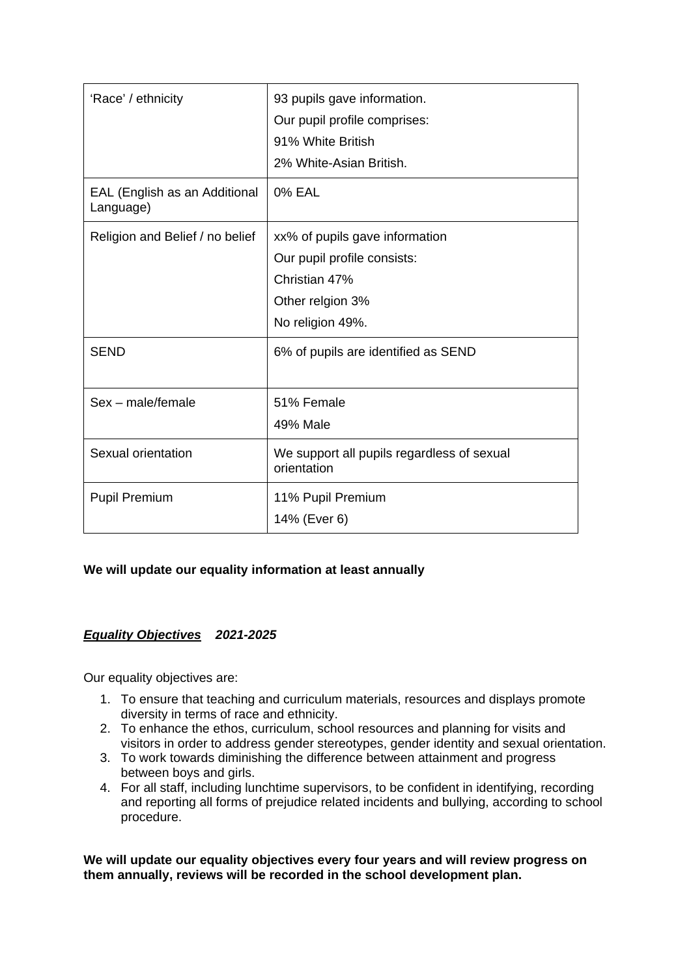| 'Race' / ethnicity                         | 93 pupils gave information.<br>Our pupil profile comprises:<br>91% White British<br>2% White-Asian British.            |
|--------------------------------------------|------------------------------------------------------------------------------------------------------------------------|
| EAL (English as an Additional<br>Language) | <b>0% EAL</b>                                                                                                          |
| Religion and Belief / no belief            | xx% of pupils gave information<br>Our pupil profile consists:<br>Christian 47%<br>Other relgion 3%<br>No religion 49%. |
| <b>SEND</b>                                | 6% of pupils are identified as SEND                                                                                    |
| Sex - male/female                          | 51% Female<br>49% Male                                                                                                 |
| Sexual orientation                         | We support all pupils regardless of sexual<br>orientation                                                              |
| <b>Pupil Premium</b>                       | 11% Pupil Premium<br>14% (Ever 6)                                                                                      |

## **We will update our equality information at least annually**

## *Equality Objectives 2021-2025*

Our equality objectives are:

- 1. To ensure that teaching and curriculum materials, resources and displays promote diversity in terms of race and ethnicity.
- 2. To enhance the ethos, curriculum, school resources and planning for visits and visitors in order to address gender stereotypes, gender identity and sexual orientation.
- 3. To work towards diminishing the difference between attainment and progress between boys and girls.
- 4. For all staff, including lunchtime supervisors, to be confident in identifying, recording and reporting all forms of prejudice related incidents and bullying, according to school procedure.

**We will update our equality objectives every four years and will review progress on them annually, reviews will be recorded in the school development plan.**